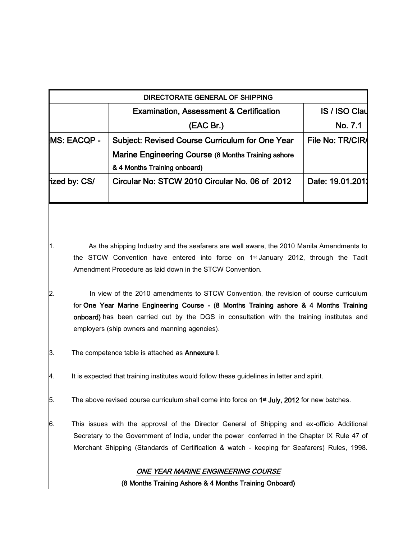|                     | <b>Examination, Assessment &amp; Certification</b>     | <b>IS / ISO Clay</b> |
|---------------------|--------------------------------------------------------|----------------------|
|                     | (EAC Br.)                                              | No. 7.1              |
| <b>IMS: EACQP -</b> | <b>Subject: Revised Course Curriculum for One Year</b> | File No: TR/CIRA     |
|                     | Marine Engineering Course (8 Months Training ashore    |                      |
|                     | & 4 Months Training onboard)                           |                      |
| fized by: CS/       | Circular No: STCW 2010 Circular No. 06 of 2012         | Date: 19.01.2011     |

1. As the shipping Industry and the seafarers are well aware, the 2010 Manila Amendments to the STCW Convention have entered into force on 1st January 2012, through the Tacit Amendment Procedure as laid down in the STCW Convention.

- 2. In view of the 2010 amendments to STCW Convention, the revision of course curriculum for One Year Marine Engineering Course - (8 Months Training ashore & 4 Months Training onboard) has been carried out by the DGS in consultation with the training institutes and employers (ship owners and manning agencies).
- 3. The competence table is attached as **Annexure I**.
- 4. It is expected that training institutes would follow these guidelines in letter and spirit.
- 5. The above revised course curriculum shall come into force on  $1<sup>st</sup>$  July, 2012 for new batches.
- 6. This issues with the approval of the Director General of Shipping and ex-officio Additional Secretary to the Government of India, under the power conferred in the Chapter IX Rule 47 of Merchant Shipping (Standards of Certification & watch - keeping for Seafarers) Rules, 1998.

## ONE YEAR MARINE ENGINEERING COURSE

(8 Months Training Ashore & 4 Months Training Onboard)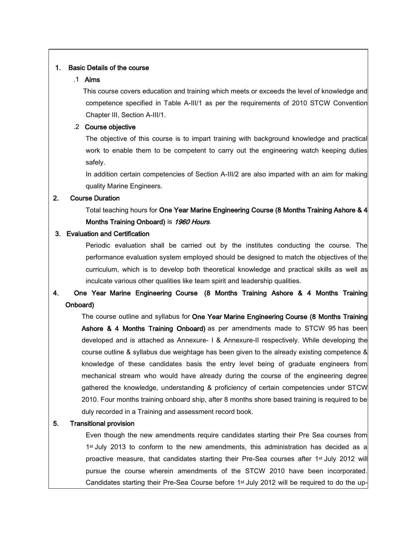## 1. Basic Details of the course

#### .1 Aims

 This course covers education and training which meets or exceeds the level of knowledge and competence specified in Table A-III/1 as per the requirements of 2010 STCW Convention Chapter III, Section A-III/1.

#### .2 Course objective

The objective of this course is to impart training with background knowledge and practical work to enable them to be competent to carry out the engineering watch keeping duties safely.

In addition certain competencies of Section A-III/2 are also imparted with an aim for making quality Marine Engineers.

## 2. Course Duration

Total teaching hours for One Year Marine Engineering Course (8 Months Training Ashore & 4 Months Training Onboard) is 1960 Hours.

## 3. Evaluation and Certification

Periodic evaluation shall be carried out by the institutes conducting the course. The performance evaluation system employed should be designed to match the objectives of the curriculum, which is to develop both theoretical knowledge and practical skills as well as inculcate various other qualities like team spirit and leadership qualities.

# 4. One Year Marine Engineering Course (8 Months Training Ashore & 4 Months Training Onboard)

The course outline and syllabus for One Year Marine Engineering Course (8 Months Training Ashore & 4 Months Training Onboard) as per amendments made to STCW 95 has been developed and is attached as Annexure- I & Annexure-II respectively. While developing the course outline & syllabus due weightage has been given to the already existing competence & knowledge of these candidates basis the entry level being of graduate engineers from mechanical stream who would have already during the course of the engineering degree gathered the knowledge, understanding & proficiency of certain competencies under STCW 2010. Four months training onboard ship, after 8 months shore based training is required to be duly recorded in a Training and assessment record book.

#### 5. Transitional provision

Even though the new amendments require candidates starting their Pre Sea courses from 1st July 2013 to conform to the new amendments, this administration has decided as a proactive measure, that candidates starting their Pre-Sea courses after 1<sup>st</sup> July 2012 will pursue the course wherein amendments of the STCW 2010 have been incorporated. Candidates starting their Pre-Sea Course before 1st July 2012 will be required to do the up